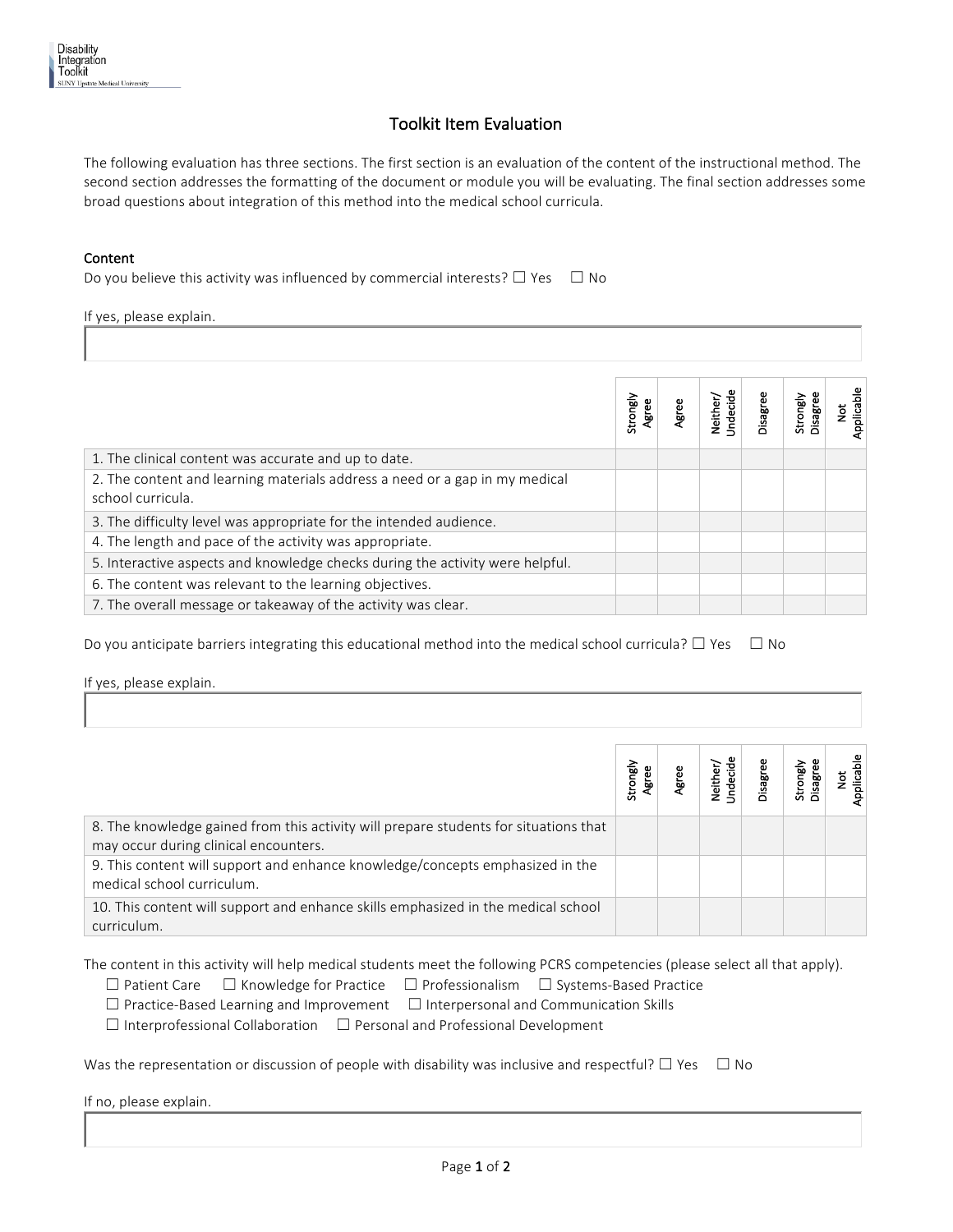## Toolkit Item Evaluation

The following evaluation has three sections. The first section is an evaluation of the content of the instructional method. The second section addresses the formatting of the document or module you will be evaluating. The final section addresses some broad questions about integration of this method into the medical school curricula.

## Content

Do you believe this activity was influenced by commercial interests?  $\Box$  Yes  $\Box$  No

| If yes, please explain.                                                                          |                   |       |                      |          |                      |                 |  |
|--------------------------------------------------------------------------------------------------|-------------------|-------|----------------------|----------|----------------------|-----------------|--|
|                                                                                                  |                   |       |                      |          |                      |                 |  |
|                                                                                                  | Strongly<br>Agree | Agree | Neither/<br>Undecide | Disagree | Disagree<br>Strongly | Applicable<br>ă |  |
| 1. The clinical content was accurate and up to date.                                             |                   |       |                      |          |                      |                 |  |
| 2. The content and learning materials address a need or a gap in my medical<br>school curricula. |                   |       |                      |          |                      |                 |  |
| 3. The difficulty level was appropriate for the intended audience.                               |                   |       |                      |          |                      |                 |  |
| 4. The length and pace of the activity was appropriate.                                          |                   |       |                      |          |                      |                 |  |
| 5. Interactive aspects and knowledge checks during the activity were helpful.                    |                   |       |                      |          |                      |                 |  |
| 6. The content was relevant to the learning objectives.                                          |                   |       |                      |          |                      |                 |  |
| 7. The overall message or takeaway of the activity was clear.                                    |                   |       |                      |          |                      |                 |  |

Do you anticipate barriers integrating this educational method into the medical school curricula?  $\Box$  Yes  $\Box$  No

If yes, please explain.

|                                                                                                                               | Strongly | Veither,<br>Indecid | <b>Disagree</b> | Strongly | Applicable |
|-------------------------------------------------------------------------------------------------------------------------------|----------|---------------------|-----------------|----------|------------|
| 8. The knowledge gained from this activity will prepare students for situations that<br>may occur during clinical encounters. |          |                     |                 |          |            |
| 9. This content will support and enhance knowledge/concepts emphasized in the<br>medical school curriculum.                   |          |                     |                 |          |            |
| 10. This content will support and enhance skills emphasized in the medical school<br>curriculum.                              |          |                     |                 |          |            |

The content in this activity will help medical students meet the following PCRS competencies (please select all that apply).

|  | $\Box$ Patient Care $\Box$ Knowledge for Practice $\Box$ Professionalism $\Box$ Systems-Based Practice |  |  |
|--|--------------------------------------------------------------------------------------------------------|--|--|
|  |                                                                                                        |  |  |

 $\Box$  Practice-Based Learning and Improvement  $\Box$  Interpersonal and Communication Skills

 ☐ Interprofessional Collaboration ☐ Personal and Professional Development

Was the representation or discussion of people with disability was inclusive and respectful?  $\Box$  Yes  $\Box$  No

If no, please explain.